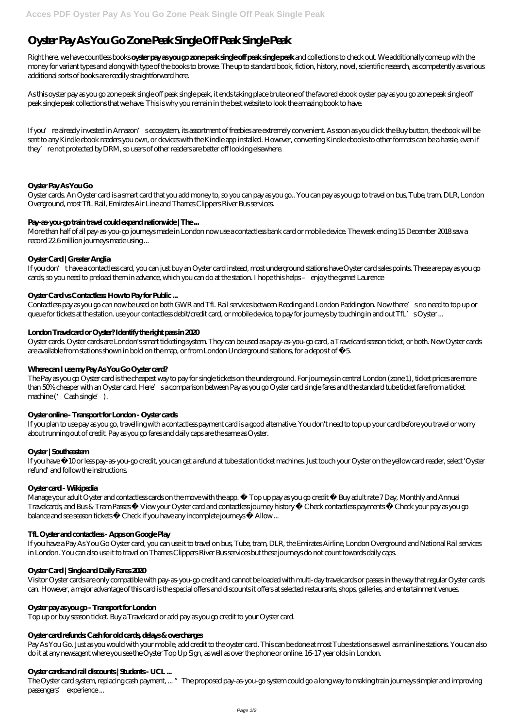# **Oyster Pay As You Go Zone Peak Single Off Peak Single Peak**

Right here, we have countless books **oyster pay as you go zone peak single off peak single peak** and collections to check out. We additionally come up with the money for variant types and along with type of the books to browse. The up to standard book, fiction, history, novel, scientific research, as competently as various additional sorts of books are readily straightforward here.

As this oyster pay as you go zone peak single off peak single peak, it ends taking place brute one of the favored ebook oyster pay as you go zone peak single off peak single peak collections that we have. This is why you remain in the best website to look the amazing book to have.

If you're already invested in Amazon's ecosystem, its assortment of freebies are extremely convenient. As soon as you click the Buy button, the ebook will be sent to any Kindle ebook readers you own, or devices with the Kindle app installed. However, converting Kindle ebooks to other formats can be a hassle, even if they' re not protected by DRM, so users of other readers are better off looking elsewhere.

# **Oyster Pay As You Go**

Oyster cards. Oyster cards are London's smart ticketing system. They can be used as a pay-as-you-go card, a Travelcard season ticket, or both. New Oyster cards are available from stations shown in bold on the map, or from London Underground stations, for a deposit of £5.

Oyster cards. An Oyster card is a smart card that you add money to, so you can pay as you go.. You can pay as you go to travel on bus, Tube, tram, DLR, London Overground, most TfL Rail, Emirates Air Line and Thames Clippers River Bus services.

The Pay as you go Oyster card is the cheapest way to pay for single tickets on the underground. For journeys in central London (zone 1), ticket prices are more than 50% cheaper with an Oyster card. Here's a comparison between Pay as you go Oyster card single fares and the standard tube ticket fare from a ticket machine ('Cash single').

# **Pay-as-you-go train travel could expand nationwide | The ...**

More than half of all pay-as-you-go journeys made in London now use a contactless bank card or mobile device. The week ending 15 December 2018 saw a record 22.6 million journeys made using ...

# **Oyster Card | Greater Anglia**

Manage your adult Oyster and contactless cards on the move with the app. • Top up pay as you go credit • Buy adult rate 7 Day, Monthly and Annual Travelcards, and Bus & Tram Passes • View your Oyster card and contactless journey history • Check contactless payments • Check your pay as you go balance and see season tickets • Check if you have any incomplete journeys • Allow...

If you don't have a contactless card, you can just buy an Oyster card instead, most underground stations have Oyster card sales points. These are pay as you go cards, so you need to preload them in advance, which you can do at the station. I hope this helps – enjoy the game! Laurence

#### Oyster Card vs Contactless: How to Pay for Public ...

Contactless pay as you go can now be used on both GWR and TfL Rail services between Reading and London Paddington. Now there's no need to top up or queue for tickets at the station. use your contactless debit/credit card, or mobile device, to pay for journeys by touching in and out TfL's Oyster ...

# **London Travelcard or Oyster? Identify the right pass in 2020**

#### **Where can I use my Pay As You Go Oyster card?**

#### **Oyster online - Transport for London - Oyster cards**

If you plan to use pay as you go, travelling with a contactless payment card is a good alternative. You don't need to top up your card before you travel or worry about running out of credit. Pay as you go fares and daily caps are the same as Oyster.

#### **Oyster | Southeastern**

If you have £10 or less pay-as-you-go credit, you can get a refund at tube station ticket machines. Just touch your Oyster on the yellow card reader, select 'Oyster refund' and follow the instructions.

#### **Oyster card - Wikipedia**

#### **TfL Oyster and contactless - Apps on Google Play**

If you have a Pay As You Go Oyster card, you can use it to travel on bus, Tube, tram, DLR, the Emirates Airline, London Overground and National Rail services

in London. You can also use it to travel on Thames Clippers River Bus services but these journeys do not count towards daily caps.

#### **Oyster Card | Single and Daily Fares 2020**

Visitor Oyster cards are only compatible with pay-as-you-go credit and cannot be loaded with multi-day travelcards or passes in the way that regular Oyster cards can. However, a major advantage of this card is the special offers and discounts it offers at selected restaurants, shops, galleries, and entertainment venues.

#### **Oyster pay as you go - Transport for London**

Top up or buy season ticket. Buy a Travelcard or add pay as you go credit to your Oyster card.

#### **Oyster card refunds: Cash for old cards, delays & overcharges**

Pay As You Go. Just as you would with your mobile, add credit to the oyster card. This can be done at most Tube stations as well as mainline stations. You can also do it at any newsagent where you see the Oyster Top Up Sign, as well as over the phone or online. 16-17 year olds in London.

#### **Oyster cards and rail discounts | Students - UCL ...**

The Oyster card system, replacing cash payment, ... "The proposed pay-as-you-go system could go a long way to making train journeys simpler and improving passengers' experience ...